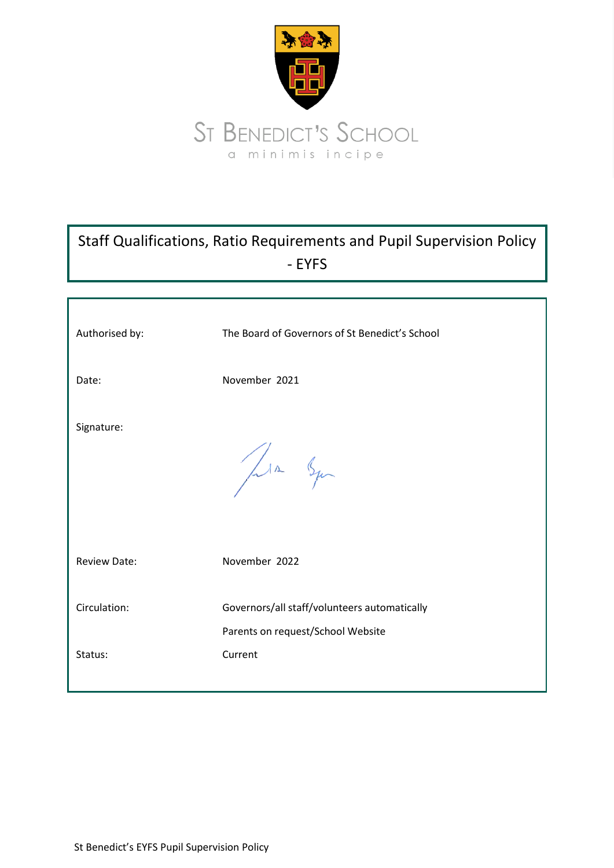

# Staff Qualifications, Ratio Requirements and Pupil Supervision Policy - EYFS

| Authorised by:      | The Board of Governors of St Benedict's School                                    |
|---------------------|-----------------------------------------------------------------------------------|
| Date:               | November 2021                                                                     |
| Signature:          | Jula Squ                                                                          |
| <b>Review Date:</b> | November 2022                                                                     |
| Circulation:        | Governors/all staff/volunteers automatically<br>Parents on request/School Website |
| Status:             | Current                                                                           |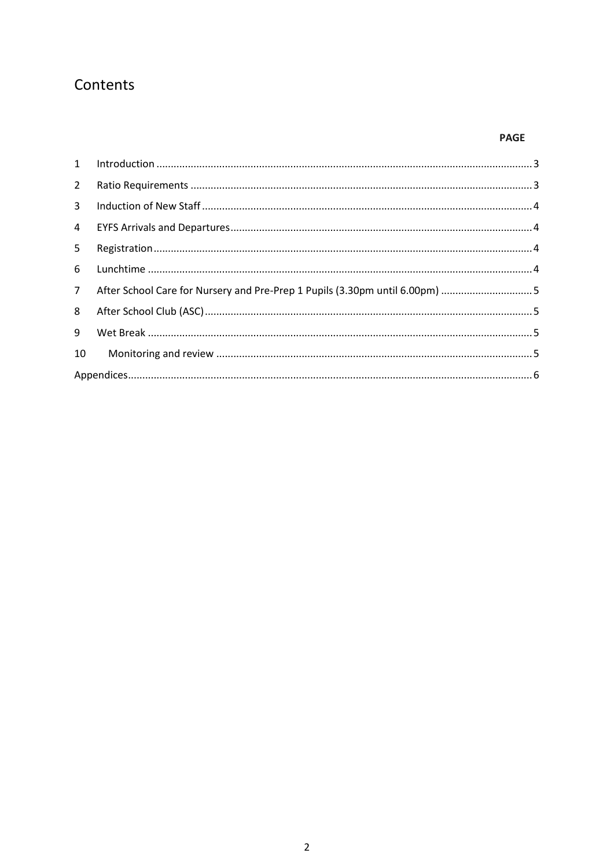## Contents

## **PAGE**

| $2^{\circ}$    |                                                                             |  |
|----------------|-----------------------------------------------------------------------------|--|
| $\mathbf{3}$   |                                                                             |  |
| $\overline{4}$ |                                                                             |  |
| 5              |                                                                             |  |
| 6              |                                                                             |  |
| 7 <sup>7</sup> | After School Care for Nursery and Pre-Prep 1 Pupils (3.30pm until 6.00pm) 5 |  |
| 8              |                                                                             |  |
| 9              |                                                                             |  |
| 10             |                                                                             |  |
|                |                                                                             |  |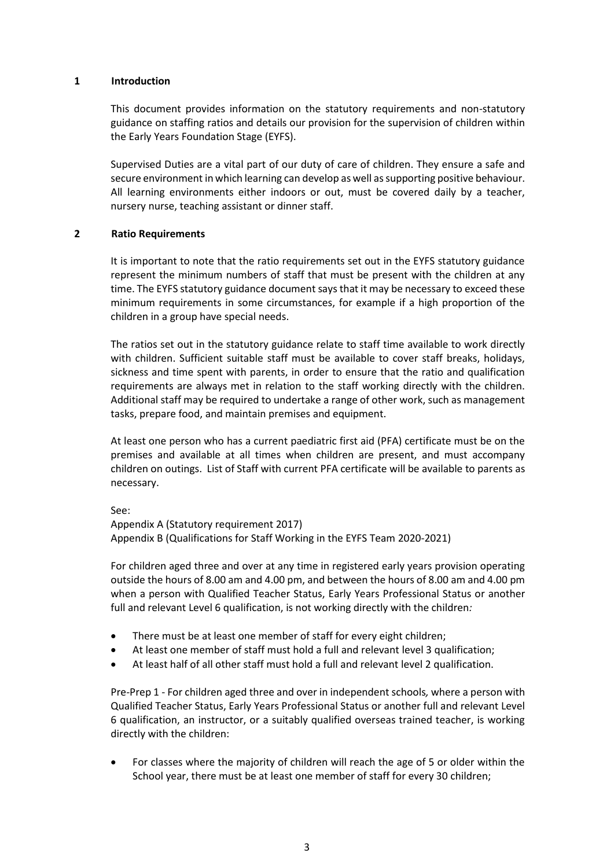#### <span id="page-2-0"></span>**1 Introduction**

This document provides information on the statutory requirements and non-statutory guidance on staffing ratios and details our provision for the supervision of children within the Early Years Foundation Stage (EYFS).

Supervised Duties are a vital part of our duty of care of children. They ensure a safe and secure environment in which learning can develop as well as supporting positive behaviour. All learning environments either indoors or out, must be covered daily by a teacher, nursery nurse, teaching assistant or dinner staff.

#### <span id="page-2-1"></span>**2 Ratio Requirements**

It is important to note that the ratio requirements set out in the EYFS statutory guidance represent the minimum numbers of staff that must be present with the children at any time. The EYFS statutory guidance document says that it may be necessary to exceed these minimum requirements in some circumstances, for example if a high proportion of the children in a group have special needs.

The ratios set out in the statutory guidance relate to staff time available to work directly with children. Sufficient suitable staff must be available to cover staff breaks, holidays, sickness and time spent with parents, in order to ensure that the ratio and qualification requirements are always met in relation to the staff working directly with the children. Additional staff may be required to undertake a range of other work, such as management tasks, prepare food, and maintain premises and equipment.

At least one person who has a current paediatric first aid (PFA) certificate must be on the premises and available at all times when children are present, and must accompany children on outings. List of Staff with current PFA certificate will be available to parents as necessary.

See:

Appendix A (Statutory requirement 2017) Appendix B (Qualifications for Staff Working in the EYFS Team 2020-2021)

For children aged three and over at any time in registered early years provision operating outside the hours of 8.00 am and 4.00 pm, and between the hours of 8.00 am and 4.00 pm when a person with Qualified Teacher Status, Early Years Professional Status or another full and relevant Level 6 qualification, is not working directly with the children*:* 

- There must be at least one member of staff for every eight children;
- At least one member of staff must hold a full and relevant level 3 qualification;
- At least half of all other staff must hold a full and relevant level 2 qualification.

Pre-Prep 1 - For children aged three and over in independent schools*,* where a person with Qualified Teacher Status, Early Years Professional Status or another full and relevant Level 6 qualification, an instructor, or a suitably qualified overseas trained teacher, is working directly with the children:

 For classes where the majority of children will reach the age of 5 or older within the School year, there must be at least one member of staff for every 30 children;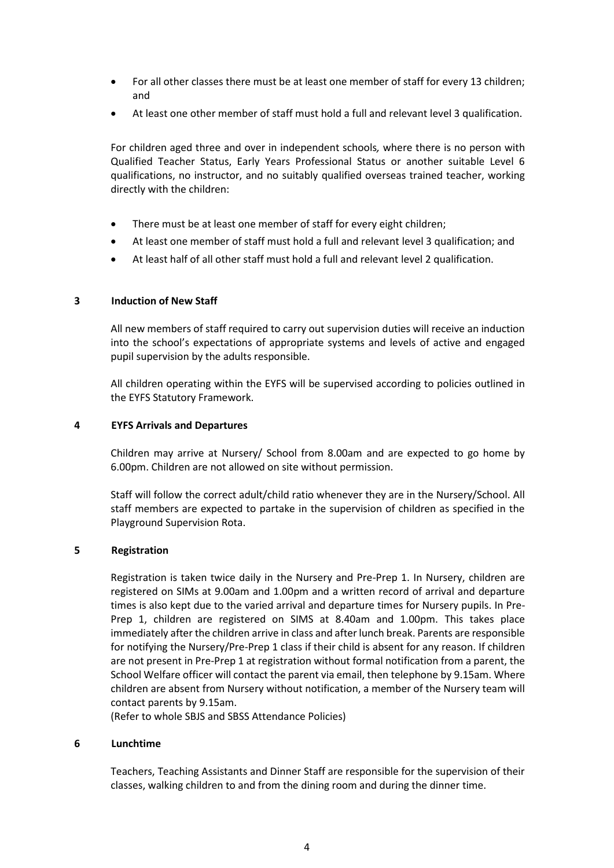- For all other classes there must be at least one member of staff for every 13 children; and
- At least one other member of staff must hold a full and relevant level 3 qualification.

For children aged three and over in independent schools*,* where there is no person with Qualified Teacher Status, Early Years Professional Status or another suitable Level 6 qualifications, no instructor, and no suitably qualified overseas trained teacher, working directly with the children:

- There must be at least one member of staff for every eight children;
- At least one member of staff must hold a full and relevant level 3 qualification; and
- At least half of all other staff must hold a full and relevant level 2 qualification.

#### <span id="page-3-0"></span>**3 Induction of New Staff**

All new members of staff required to carry out supervision duties will receive an induction into the school's expectations of appropriate systems and levels of active and engaged pupil supervision by the adults responsible.

All children operating within the EYFS will be supervised according to policies outlined in the EYFS Statutory Framework.

#### <span id="page-3-1"></span>**4 EYFS Arrivals and Departures**

Children may arrive at Nursery/ School from 8.00am and are expected to go home by 6.00pm. Children are not allowed on site without permission.

Staff will follow the correct adult/child ratio whenever they are in the Nursery/School. All staff members are expected to partake in the supervision of children as specified in the Playground Supervision Rota.

#### <span id="page-3-2"></span>**5 Registration**

Registration is taken twice daily in the Nursery and Pre-Prep 1. In Nursery, children are registered on SIMs at 9.00am and 1.00pm and a written record of arrival and departure times is also kept due to the varied arrival and departure times for Nursery pupils. In Pre-Prep 1, children are registered on SIMS at 8.40am and 1.00pm. This takes place immediately after the children arrive in class and after lunch break. Parents are responsible for notifying the Nursery/Pre-Prep 1 class if their child is absent for any reason. If children are not present in Pre-Prep 1 at registration without formal notification from a parent, the School Welfare officer will contact the parent via email, then telephone by 9.15am. Where children are absent from Nursery without notification, a member of the Nursery team will contact parents by 9.15am.

(Refer to whole SBJS and SBSS Attendance Policies)

#### <span id="page-3-3"></span>**6 Lunchtime**

Teachers, Teaching Assistants and Dinner Staff are responsible for the supervision of their classes, walking children to and from the dining room and during the dinner time.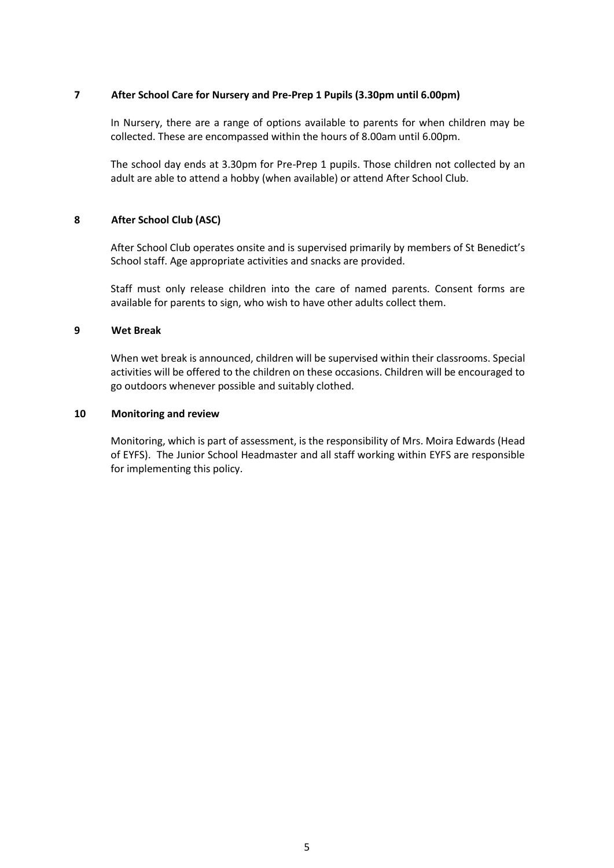#### <span id="page-4-0"></span>**7 After School Care for Nursery and Pre-Prep 1 Pupils (3.30pm until 6.00pm)**

In Nursery, there are a range of options available to parents for when children may be collected. These are encompassed within the hours of 8.00am until 6.00pm.

The school day ends at 3.30pm for Pre-Prep 1 pupils. Those children not collected by an adult are able to attend a hobby (when available) or attend After School Club.

#### <span id="page-4-1"></span>**8 After School Club (ASC)**

After School Club operates onsite and is supervised primarily by members of St Benedict's School staff. Age appropriate activities and snacks are provided.

Staff must only release children into the care of named parents. Consent forms are available for parents to sign, who wish to have other adults collect them.

#### <span id="page-4-2"></span>**9 Wet Break**

When wet break is announced, children will be supervised within their classrooms. Special activities will be offered to the children on these occasions. Children will be encouraged to go outdoors whenever possible and suitably clothed.

#### <span id="page-4-3"></span>**10 Monitoring and review**

Monitoring, which is part of assessment, is the responsibility of Mrs. Moira Edwards (Head of EYFS). The Junior School Headmaster and all staff working within EYFS are responsible for implementing this policy.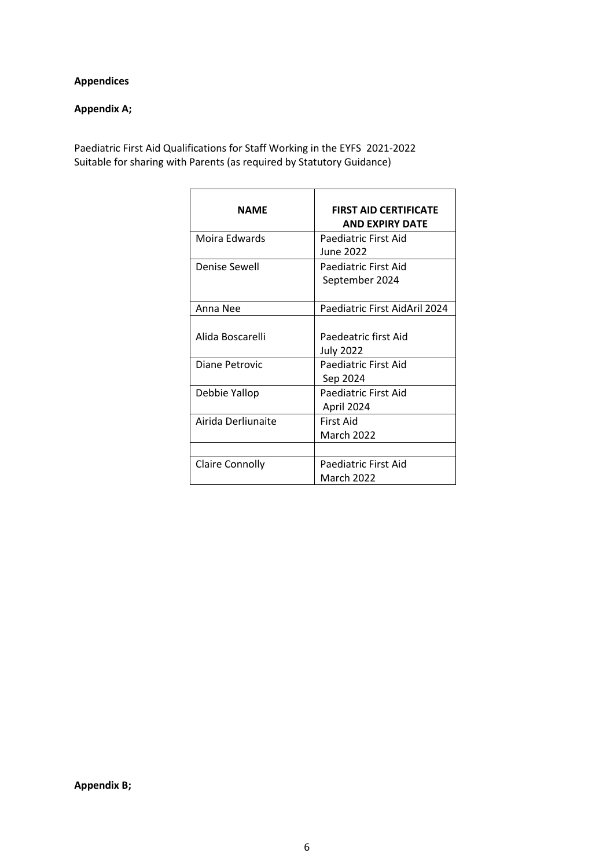## <span id="page-5-0"></span>**Appendices**

## **Appendix A;**

Paediatric First Aid Qualifications for Staff Working in the EYFS 2021-2022 Suitable for sharing with Parents (as required by Statutory Guidance)

| <b>NAME</b>                        | <b>FIRST AID CERTIFICATE</b><br><b>AND EXPIRY DATE</b>           |
|------------------------------------|------------------------------------------------------------------|
| Moira Edwards                      | Paediatric First Aid<br><b>June 2022</b>                         |
| Denise Sewell                      | Paediatric First Aid<br>September 2024                           |
| Anna Nee                           | Paediatric First AidAril 2024                                    |
| Alida Boscarelli<br>Diane Petrovic | Paedeatric first Aid<br><b>July 2022</b><br>Paediatric First Aid |
|                                    | Sep 2024                                                         |
| Debbie Yallop                      | <b>Paediatric First Aid</b><br>April 2024                        |
| Airida Derliunaite                 | First Aid<br><b>March 2022</b>                                   |
|                                    |                                                                  |
| Claire Connolly                    | Paediatric First Aid<br>March 2022                               |

**Appendix B;**